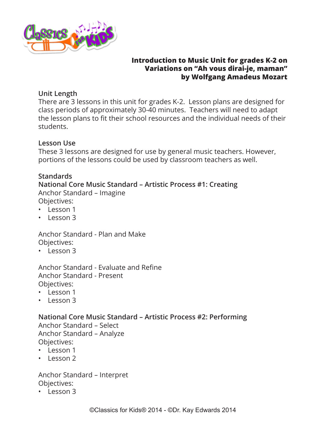

## **Introduction to Music Unit for grades K-2 on Variations on "Ah vous dirai-je, maman" by Wolfgang Amadeus Mozart**

# **Unit Length**

There are 3 lessons in this unit for grades K-2. Lesson plans are designed for class periods of approximately 30-40 minutes. Teachers will need to adapt the lesson plans to fit their school resources and the individual needs of their students.

# **Lesson Use**

These 3 lessons are designed for use by general music teachers. However, portions of the lessons could be used by classroom teachers as well.

# **Standards**

#### **National Core Music Standard – Artistic Process #1: Creating** Anchor Standard – Imagine

Objectives:

- Lesson 1
- Lesson 3

Anchor Standard - Plan and Make Objectives:

• Lesson 3

Anchor Standard - Evaluate and Refine Anchor Standard - Present Objectives:

- Lesson 1
- Lesson 3

# **National Core Music Standard – Artistic Process #2: Performing**

Anchor Standard – Select Anchor Standard – Analyze Objectives:

- Lesson 1
- Lesson 2

Anchor Standard – Interpret Objectives:

• Lesson 3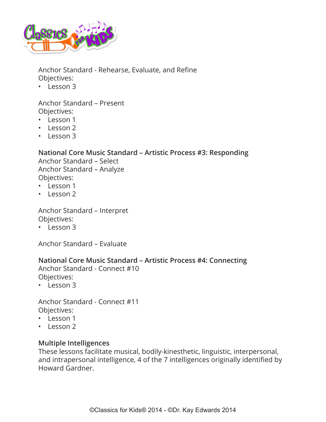

Anchor Standard - Rehearse, Evaluate, and Refine Objectives:

• Lesson 3

Anchor Standard – Present Objectives:

- Lesson 1
- Lesson 2
- Lesson 3

#### **National Core Music Standard – Artistic Process #3: Responding**

Anchor Standard – Select Anchor Standard – Analyze Objectives:

- Lesson 1
- Lesson 2

Anchor Standard – Interpret Objectives:

• Lesson 3

Anchor Standard – Evaluate

#### **National Core Music Standard – Artistic Process #4: Connecting**

Anchor Standard - Connect #10 Objectives:

• Lesson 3

Anchor Standard - Connect #11 Objectives:

- Lesson 1
- Lesson 2

#### **Multiple Intelligences**

These lessons facilitate musical, bodily-kinesthetic, linguistic, interpersonal, and intrapersonal intelligence, 4 of the 7 intelligences originally identified by Howard Gardner.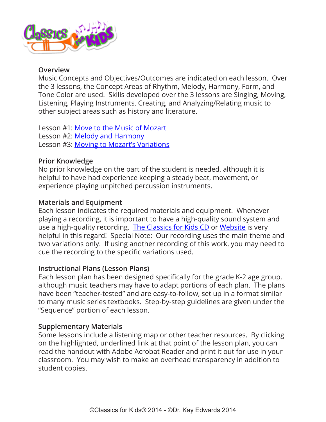

#### **Overview**

Music Concepts and Objectives/Outcomes are indicated on each lesson. Over the 3 lessons, the Concept Areas of Rhythm, Melody, Harmony, Form, and Tone Color are used. Skills developed over the 3 lessons are Singing, Moving, Listening, Playing Instruments, Creating, and Analyzing/Relating music to other subject areas such as history and literature.

Lesson #1: [Move to the Music of Mozart](#page-4-0) Lesson #2: [Melody and Harmony](#page-11-0) Lesson #3: [Moving to Mozart's Variations](#page-17-0)

## **Prior Knowledge**

No prior knowledge on the part of the student is needed, although it is helpful to have had experience keeping a steady beat, movement, or experience playing unpitched percussion instruments.

## **Materials and Equipment**

Each lesson indicates the required materials and equipment. Whenever playing a recording, it is important to have a high-quality sound system and use a high-quality recording. [The Classics for Kids CD](https://www.classicsforkids.com/more/cfk_cd.html) or [Website](https://www.classicsforkids.com/) is very helpful in this regard! Special Note: Our recording uses the main theme and two variations only. If using another recording of this work, you may need to cue the recording to the specific variations used.

# **Instructional Plans (Lesson Plans)**

Each lesson plan has been designed specifically for the grade K-2 age group, although music teachers may have to adapt portions of each plan. The plans have been "teacher-tested" and are easy-to-follow, set up in a format similar to many music series textbooks. Step-by-step guidelines are given under the "Sequence" portion of each lesson.

#### **Supplementary Materials**

Some lessons include a listening map or other teacher resources. By clicking on the highlighted, underlined link at that point of the lesson plan, you can read the handout with Adobe Acrobat Reader and print it out for use in your classroom. You may wish to make an overhead transparency in addition to student copies.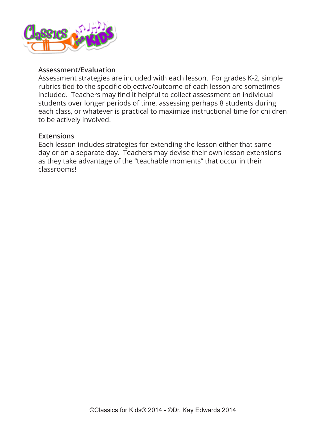

#### **Assessment/Evaluation**

Assessment strategies are included with each lesson. For grades K-2, simple rubrics tied to the specific objective/outcome of each lesson are sometimes included. Teachers may find it helpful to collect assessment on individual students over longer periods of time, assessing perhaps 8 students during each class, or whatever is practical to maximize instructional time for children to be actively involved.

#### **Extensions**

Each lesson includes strategies for extending the lesson either that same day or on a separate day. Teachers may devise their own lesson extensions as they take advantage of the "teachable moments" that occur in their classrooms!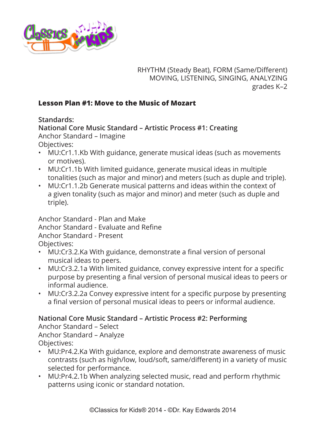<span id="page-4-0"></span>

RHYTHM (Steady Beat), FORM (Same/Different) MOVING, LISTENING, SINGING, ANALYZING grades K–2

# **Lesson Plan #1: Move to the Music of Mozart**

**Standards:**

**National Core Music Standard – Artistic Process #1: Creating** Anchor Standard – Imagine

- Objectives:
- MU:Cr1.1.Kb With guidance, generate musical ideas (such as movements or motives).
- MU:Cr1.1b With limited guidance, generate musical ideas in multiple tonalities (such as major and minor) and meters (such as duple and triple).
- MU:Cr1.1.2b Generate musical patterns and ideas within the context of a given tonality (such as major and minor) and meter (such as duple and triple).

Anchor Standard - Plan and Make Anchor Standard - Evaluate and Refine Anchor Standard - Present Objectives:

- MU:Cr3.2.Ka With guidance, demonstrate a final version of personal musical ideas to peers.
- MU:Cr3.2.1a With limited guidance, convey expressive intent for a specific purpose by presenting a final version of personal musical ideas to peers or informal audience.
- MU:Cr3.2.2a Convey expressive intent for a specific purpose by presenting a final version of personal musical ideas to peers or informal audience.

# **National Core Music Standard – Artistic Process #2: Performing**

Anchor Standard – Select Anchor Standard – Analyze Objectives:

- MU:Pr4.2.Ka With guidance, explore and demonstrate awareness of music contrasts (such as high/low, loud/soft, same/different) in a variety of music selected for performance.
- MU:Pr4.2.1b When analyzing selected music, read and perform rhythmic patterns using iconic or standard notation.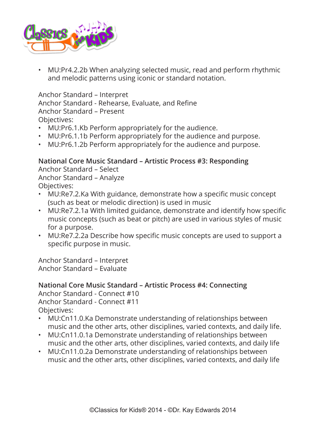

• MU:Pr4.2.2b When analyzing selected music, read and perform rhythmic and melodic patterns using iconic or standard notation.

Anchor Standard – Interpret

Anchor Standard - Rehearse, Evaluate, and Refine

Anchor Standard – Present

Objectives:

- MU:Pr6.1.Kb Perform appropriately for the audience.
- MU:Pr6.1.1b Perform appropriately for the audience and purpose.
- MU:Pr6.1.2b Perform appropriately for the audience and purpose.

## **National Core Music Standard – Artistic Process #3: Responding**

Anchor Standard – Select Anchor Standard – Analyze Objectives:

- MU:Re7.2.Ka With guidance, demonstrate how a specific music concept (such as beat or melodic direction) is used in music
- MU:Re7.2.1a With limited guidance, demonstrate and identify how specific music concepts (such as beat or pitch) are used in various styles of music for a purpose.
- MU:Re7.2.2a Describe how specific music concepts are used to support a specific purpose in music.

Anchor Standard – Interpret Anchor Standard – Evaluate

# **National Core Music Standard – Artistic Process #4: Connecting**

Anchor Standard - Connect #10 Anchor Standard - Connect #11 Objectives:

- MU:Cn11.0.Ka Demonstrate understanding of relationships between music and the other arts, other disciplines, varied contexts, and daily life.
- MU:Cn11.0.1a Demonstrate understanding of relationships between music and the other arts, other disciplines, varied contexts, and daily life
- MU:Cn11.0.2a Demonstrate understanding of relationships between music and the other arts, other disciplines, varied contexts, and daily life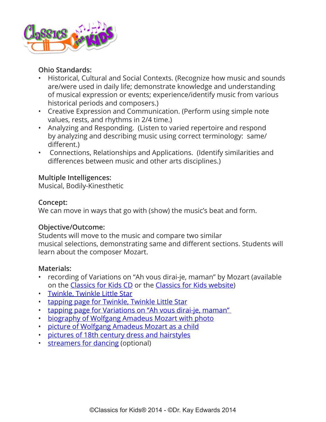

# **Ohio Standards:**

- Historical, Cultural and Social Contexts. (Recognize how music and sounds are/were used in daily life; demonstrate knowledge and understanding of musical expression or events; experience/identify music from various historical periods and composers.)
- Creative Expression and Communication. (Perform using simple note values, rests, and rhythms in 2/4 time.)
- Analyzing and Responding. (Listen to varied repertoire and respond by analyzing and describing music using correct terminology: same/ different.)
- Connections, Relationships and Applications. (Identify similarities and differences between music and other arts disciplines.)

# **Multiple Intelligences:**

Musical, Bodily-Kinesthetic

# **Concept:**

We can move in ways that go with (show) the music's beat and form.

# **Objective/Outcome:**

Students will move to the music and compare two similar musical selections, demonstrating same and different sections. Students will learn about the composer Mozart.

# **Materials:**

- recording of Variations on "Ah vous dirai-je, maman" by Mozart (available on the [Classics for Kids CD](https://www.classicsforkids.com/more/cfk_cd.html) or the [Classics for Kids website](https://www.classicsforkids.com/))
- [Twinkle, Twinkle Little Star](https://www.classicsforkids.com/downloads/mozart/TwinkleTwinkle.pdf)
- [tapping page for Twinkle, Twinkle Little Star](https://www.classicsforkids.com/downloads/mozart/Twinkle_Tapping_Page.pdf)
- [tapping page for Variations on "Ah vous dirai-je, maman"](https://www.classicsforkids.com/downloads/mozart/Mozart_AhVous_Tapping_Page.pdf)
- [biography of Wolfgang Amadeus Mozart with photo](https://www.classicsforkids.com/composers/composer_profile.php?id=46)
- [picture of Wolfgang Amadeus Mozart as a child](https://www.classicsforkids.com/downloads/mozart/Mozart_child_picture.pdf)
- [pictures of 18th century dress and hairstyles](https://www.classicsforkids.com/downloads/mozart/Court_pictures.pdf)
- [streamers for dancing](https://www.classicsforkids.com/downloads/mozart/Big_Star_Streamer.pdf) (optional)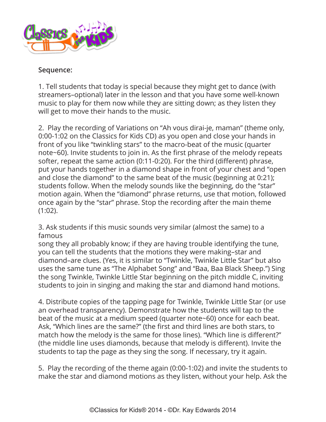

## **Sequence:**

1. Tell students that today is special because they might get to dance (with streamers–optional) later in the lesson and that you have some well-known music to play for them now while they are sitting down; as they listen they will get to move their hands to the music.

2. Play the recording of Variations on "Ah vous dirai-je, maman" (theme only, 0:00-1:02 on the Classics for Kids CD) as you open and close your hands in front of you like "twinkling stars" to the macro-beat of the music (quarter note~60). Invite students to join in. As the first phrase of the melody repeats softer, repeat the same action (0:11-0:20). For the third (different) phrase, put your hands together in a diamond shape in front of your chest and "open and close the diamond" to the same beat of the music (beginning at 0:21); students follow. When the melody sounds like the beginning, do the "star" motion again. When the "diamond" phrase returns, use that motion, followed once again by the "star" phrase. Stop the recording after the main theme (1:02).

3. Ask students if this music sounds very similar (almost the same) to a famous

song they all probably know; if they are having trouble identifying the tune, you can tell the students that the motions they were making–star and diamond–are clues. (Yes, it is similar to "Twinkle, Twinkle Little Star" but also uses the same tune as "The Alphabet Song" and "Baa, Baa Black Sheep.") Sing the song Twinkle, Twinkle Little Star beginning on the pitch middle C, inviting students to join in singing and making the star and diamond hand motions.

4. Distribute copies of the tapping page for Twinkle, Twinkle Little Star (or use an overhead transparency). Demonstrate how the students will tap to the beat of the music at a medium speed (quarter note~60) once for each beat. Ask, "Which lines are the same?" (the first and third lines are both stars, to match how the melody is the same for those lines). "Which line is different?" (the middle line uses diamonds, because that melody is different). Invite the students to tap the page as they sing the song. If necessary, try it again.

5. Play the recording of the theme again (0:00-1:02) and invite the students to make the star and diamond motions as they listen, without your help. Ask the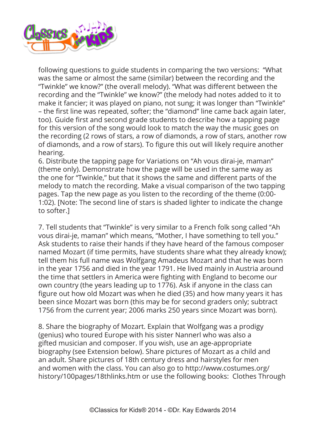

following questions to guide students in comparing the two versions: "What was the same or almost the same (similar) between the recording and the "Twinkle" we know?" (the overall melody). "What was different between the recording and the "Twinkle" we know?" (the melody had notes added to it to make it fancier; it was played on piano, not sung; it was longer than "Twinkle" – the first line was repeated, softer; the "diamond" line came back again later, too). Guide first and second grade students to describe how a tapping page for this version of the song would look to match the way the music goes on the recording (2 rows of stars, a row of diamonds, a row of stars, another row of diamonds, and a row of stars). To figure this out will likely require another hearing.

6. Distribute the tapping page for Variations on "Ah vous dirai-je, maman" (theme only). Demonstrate how the page will be used in the same way as the one for "Twinkle," but that it shows the same and different parts of the melody to match the recording. Make a visual comparison of the two tapping pages. Tap the new page as you listen to the recording of the theme (0:00- 1:02). [Note: The second line of stars is shaded lighter to indicate the change to softer.]

7. Tell students that "Twinkle" is very similar to a French folk song called "Ah vous dirai-je, maman" which means, "Mother, I have something to tell you." Ask students to raise their hands if they have heard of the famous composer named Mozart (if time permits, have students share what they already know); tell them his full name was Wolfgang Amadeus Mozart and that he was born in the year 1756 and died in the year 1791. He lived mainly in Austria around the time that settlers in America were fighting with England to become our own country (the years leading up to 1776). Ask if anyone in the class can figure out how old Mozart was when he died (35) and how many years it has been since Mozart was born (this may be for second graders only; subtract 1756 from the current year; 2006 marks 250 years since Mozart was born).

8. Share the biography of Mozart. Explain that Wolfgang was a prodigy (genius) who toured Europe with his sister Nannerl who was also a gifted musician and composer. If you wish, use an age-appropriate biography (see Extension below). Share pictures of Mozart as a child and an adult. Share pictures of 18th century dress and hairstyles for men and women with the class. You can also go to http://www.costumes.org/ history/100pages/18thlinks.htm or use the following books: Clothes Through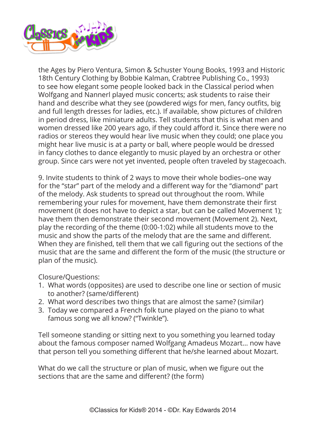

the Ages by Piero Ventura, Simon & Schuster Young Books, 1993 and Historic 18th Century Clothing by Bobbie Kalman, Crabtree Publishing Co., 1993) to see how elegant some people looked back in the Classical period when Wolfgang and Nannerl played music concerts; ask students to raise their hand and describe what they see (powdered wigs for men, fancy outfits, big and full length dresses for ladies, etc.). If available, show pictures of children in period dress, like miniature adults. Tell students that this is what men and women dressed like 200 years ago, if they could afford it. Since there were no radios or stereos they would hear live music when they could; one place you might hear live music is at a party or ball, where people would be dressed in fancy clothes to dance elegantly to music played by an orchestra or other group. Since cars were not yet invented, people often traveled by stagecoach.

9. Invite students to think of 2 ways to move their whole bodies–one way for the "star" part of the melody and a different way for the "diamond" part of the melody. Ask students to spread out throughout the room. While remembering your rules for movement, have them demonstrate their first movement (it does not have to depict a star, but can be called Movement 1); have them then demonstrate their second movement (Movement 2). Next, play the recording of the theme (0:00-1:02) while all students move to the music and show the parts of the melody that are the same and different. When they are finished, tell them that we call figuring out the sections of the music that are the same and different the form of the music (the structure or plan of the music).

Closure/Questions:

- 1. What words (opposites) are used to describe one line or section of music to another? (same/different)
- 2. What word describes two things that are almost the same? (similar)
- 3. Today we compared a French folk tune played on the piano to what famous song we all know? ("Twinkle").

Tell someone standing or sitting next to you something you learned today about the famous composer named Wolfgang Amadeus Mozart... now have that person tell you something different that he/she learned about Mozart.

What do we call the structure or plan of music, when we figure out the sections that are the same and different? (the form)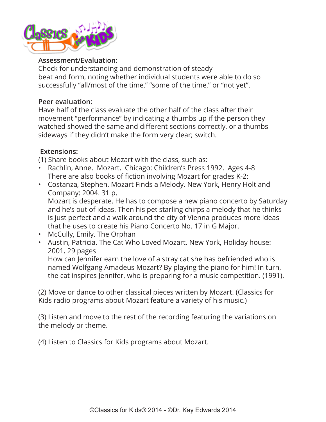

## **Assessment/Evaluation:**

Check for understanding and demonstration of steady beat and form, noting whether individual students were able to do so successfully "all/most of the time," "some of the time," or "not yet".

#### **Peer evaluation:**

Have half of the class evaluate the other half of the class after their movement "performance" by indicating a thumbs up if the person they watched showed the same and different sections correctly, or a thumbs sideways if they didn't make the form very clear; switch.

## **Extensions:**

(1) Share books about Mozart with the class, such as:

- Rachlin, Anne. Mozart. Chicago: Children's Press 1992. Ages 4-8 There are also books of fiction involving Mozart for grades K-2:
- Costanza, Stephen. Mozart Finds a Melody. New York, Henry Holt and Company: 2004. 31 p.

Mozart is desperate. He has to compose a new piano concerto by Saturday and he's out of ideas. Then his pet starling chirps a melody that he thinks is just perfect and a walk around the city of Vienna produces more ideas that he uses to create his Piano Concerto No. 17 in G Major.

- McCully, Emily. The Orphan
- Austin, Patricia. The Cat Who Loved Mozart. New York, Holiday house: 2001. 29 pages

How can Jennifer earn the love of a stray cat she has befriended who is named Wolfgang Amadeus Mozart? By playing the piano for him! In turn, the cat inspires Jennifer, who is preparing for a music competition. (1991).

(2) Move or dance to other classical pieces written by Mozart. (Classics for Kids radio programs about Mozart feature a variety of his music.)

(3) Listen and move to the rest of the recording featuring the variations on the melody or theme.

(4) Listen to Classics for Kids programs about Mozart.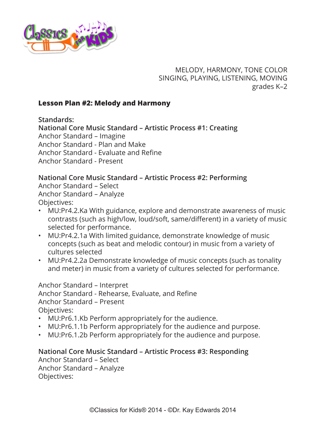<span id="page-11-0"></span>

MELODY, HARMONY, TONE COLOR SINGING, PLAYING, LISTENING, MOVING grades K–2

## **Lesson Plan #2: Melody and Harmony**

**Standards:**

**National Core Music Standard – Artistic Process #1: Creating**

Anchor Standard – Imagine

Anchor Standard - Plan and Make

Anchor Standard - Evaluate and Refine

Anchor Standard - Present

#### **National Core Music Standard – Artistic Process #2: Performing**

Anchor Standard – Select Anchor Standard – Analyze Objectives:

- MU:Pr4.2.Ka With guidance, explore and demonstrate awareness of music contrasts (such as high/low, loud/soft, same/different) in a variety of music selected for performance.
- MU:Pr4.2.1a With limited guidance, demonstrate knowledge of music concepts (such as beat and melodic contour) in music from a variety of cultures selected
- MU:Pr4.2.2a Demonstrate knowledge of music concepts (such as tonality and meter) in music from a variety of cultures selected for performance.

Anchor Standard – Interpret Anchor Standard - Rehearse, Evaluate, and Refine Anchor Standard – Present Objectives:

- MU:Pr6.1.Kb Perform appropriately for the audience.
- MU:Pr6.1.1b Perform appropriately for the audience and purpose.
- MU:Pr6.1.2b Perform appropriately for the audience and purpose.

# **National Core Music Standard – Artistic Process #3: Responding**

Anchor Standard – Select Anchor Standard – Analyze Objectives: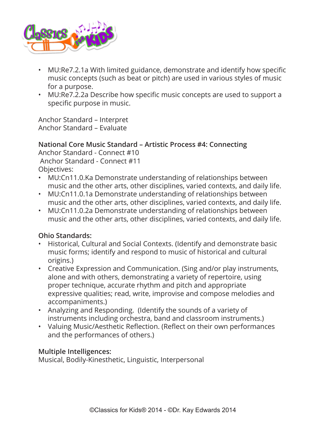

- MU:Re7.2.1a With limited guidance, demonstrate and identify how specific music concepts (such as beat or pitch) are used in various styles of music for a purpose.
- MU:Re7.2.2a Describe how specific music concepts are used to support a specific purpose in music.

Anchor Standard – Interpret Anchor Standard – Evaluate

## **National Core Music Standard – Artistic Process #4: Connecting**

Anchor Standard - Connect #10 Anchor Standard - Connect #11 Objectives:

- MU:Cn11.0.Ka Demonstrate understanding of relationships between music and the other arts, other disciplines, varied contexts, and daily life.
- MU:Cn11.0.1a Demonstrate understanding of relationships between music and the other arts, other disciplines, varied contexts, and daily life.
- MU:Cn11.0.2a Demonstrate understanding of relationships between music and the other arts, other disciplines, varied contexts, and daily life.

# **Ohio Standards:**

- Historical, Cultural and Social Contexts. (Identify and demonstrate basic music forms; identify and respond to music of historical and cultural origins.)
- Creative Expression and Communication. (Sing and/or play instruments, alone and with others, demonstrating a variety of repertoire, using proper technique, accurate rhythm and pitch and appropriate expressive qualities; read, write, improvise and compose melodies and accompaniments.)
- Analyzing and Responding. (Identify the sounds of a variety of instruments including orchestra, band and classroom instruments.)
- Valuing Music/Aesthetic Reflection. (Reflect on their own performances and the performances of others.)

# **Multiple Intelligences:**

Musical, Bodily-Kinesthetic, Linguistic, Interpersonal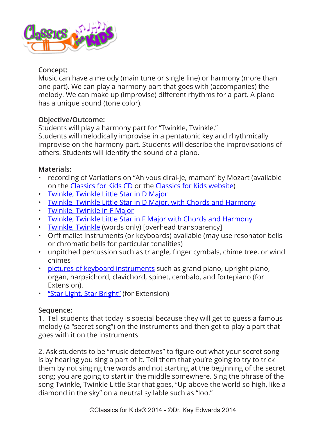

# **Concept:**

Music can have a melody (main tune or single line) or harmony (more than one part). We can play a harmony part that goes with (accompanies) the melody. We can make up (improvise) different rhythms for a part. A piano has a unique sound (tone color).

# **Objective/Outcome:**

Students will play a harmony part for "Twinkle, Twinkle." Students will melodically improvise in a pentatonic key and rhythmically improvise on the harmony part. Students will describe the improvisations of others. Students will identify the sound of a piano.

# **Materials:**

- recording of Variations on "Ah vous dirai-je, maman" by Mozart (available on the [Classics for Kids CD](https://www.classicsforkids.com/more/cfk_cd.html) or the [Classics for Kids website](https://www.classicsforkids.com/))
- [Twinkle, Twinkle Little Star in D Major](https://www.classicsforkids.com/downloads/mozart/TwinkleTwinkle_DMajor.pdf)
- [Twinkle, Twinkle Little Star in D Major, with Chords and Harmony](https://www.classicsforkids.com/downloads/mozart/Twinkle_DMajorandChords.mus.pdf)
- [Twinkle, Twinkle in F Major](https://www.classicsforkids.com/downloads/mozart/TwinkleTwinkle_FMajor.pdf)
- [Twinkle, Twinkle Little Star in F Major with Chords and Harmony](https://www.classicsforkids.com/downloads/mozart/Twinkle_FMajorandChords.mus.pdf)
- [Twinkle, Twinkle](https://www.classicsforkids.com/downloads/mozart/Twinkle%20Lyrics.pdf) (words only) [overhead transparency]
- Orff mallet instruments (or keyboards) available (may use resonator bells or chromatic bells for particular tonalities)
- unpitched percussion such as triangle, finger cymbals, chime tree, or wind chimes
- [pictures of keyboard instruments](https://www.classicsforkids.com/downloads/mozart/Piano_Instruments.pdf) such as grand piano, upright piano, organ, harpsichord, clavichord, spinet, cembalo, and fortepiano (for Extension).
- ["Star Light, Star Bright"](https://www.classicsforkids.com/downloads/mozart/StarLight_StarBright.mus.pdf) (for Extension)

#### **Sequence:**

1. Tell students that today is special because they will get to guess a famous melody (a "secret song") on the instruments and then get to play a part that goes with it on the instruments

2. Ask students to be "music detectives" to figure out what your secret song is by hearing you sing a part of it. Tell them that you're going to try to trick them by not singing the words and not starting at the beginning of the secret song; you are going to start in the middle somewhere. Sing the phrase of the song Twinkle, Twinkle Little Star that goes, "Up above the world so high, like a diamond in the sky" on a neutral syllable such as "loo."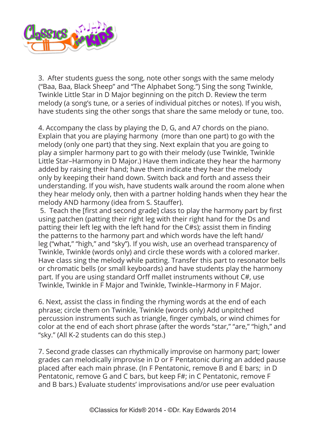

3. After students guess the song, note other songs with the same melody ("Baa, Baa, Black Sheep" and "The Alphabet Song.") Sing the song Twinkle, Twinkle Little Star in D Major beginning on the pitch D. Review the term melody (a song's tune, or a series of individual pitches or notes). If you wish, have students sing the other songs that share the same melody or tune, too.

4. Accompany the class by playing the D, G, and A7 chords on the piano. Explain that you are playing harmony (more than one part) to go with the melody (only one part) that they sing. Next explain that you are going to play a simpler harmony part to go with their melody (use Twinkle, Twinkle Little Star–Harmony in D Major.) Have them indicate they hear the harmony added by raising their hand; have them indicate they hear the melody only by keeping their hand down. Switch back and forth and assess their understanding. If you wish, have students walk around the room alone when they hear melody only, then with a partner holding hands when they hear the melody AND harmony (idea from S. Stauffer).

 5. Teach the [first and second grade] class to play the harmony part by first using patchen (patting their right leg with their right hand for the Ds and patting their left leg with the left hand for the C#s); assist them in finding the patterns to the harmony part and which words have the left hand/ leg ("what," "high," and "sky"). If you wish, use an overhead transparency of Twinkle, Twinkle (words only) and circle these words with a colored marker. Have class sing the melody while patting. Transfer this part to resonator bells or chromatic bells (or small keyboards) and have students play the harmony part. If you are using standard Orff mallet instruments without C#, use Twinkle, Twinkle in F Major and Twinkle, Twinkle–Harmony in F Major.

6. Next, assist the class in finding the rhyming words at the end of each phrase; circle them on Twinkle, Twinkle (words only) Add unpitched percussion instruments such as triangle, finger cymbals, or wind chimes for color at the end of each short phrase (after the words "star," "are," "high," and "sky." (All K-2 students can do this step.)

7. Second grade classes can rhythmically improvise on harmony part; lower grades can melodically improvise in D or F Pentatonic during an added pause placed after each main phrase. (In F Pentatonic, remove B and E bars; in D Pentatonic, remove G and C bars, but keep F#; in C Pentatonic, remove F and B bars.) Evaluate students' improvisations and/or use peer evaluation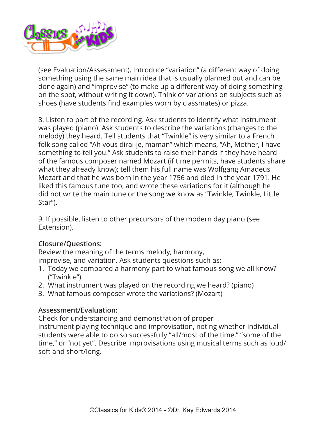

(see Evaluation/Assessment). Introduce "variation" (a different way of doing something using the same main idea that is usually planned out and can be done again) and "improvise" (to make up a different way of doing something on the spot, without writing it down). Think of variations on subjects such as shoes (have students find examples worn by classmates) or pizza.

8. Listen to part of the recording. Ask students to identify what instrument was played (piano). Ask students to describe the variations (changes to the melody) they heard. Tell students that "Twinkle" is very similar to a French folk song called "Ah vous dirai-je, maman" which means, "Ah, Mother, I have something to tell you." Ask students to raise their hands if they have heard of the famous composer named Mozart (if time permits, have students share what they already know); tell them his full name was Wolfgang Amadeus Mozart and that he was born in the year 1756 and died in the year 1791. He liked this famous tune too, and wrote these variations for it (although he did not write the main tune or the song we know as "Twinkle, Twinkle, Little Star").

9. If possible, listen to other precursors of the modern day piano (see Extension).

# **Closure/Questions:**

Review the meaning of the terms melody, harmony, improvise, and variation. Ask students questions such as:

- 1. Today we compared a harmony part to what famous song we all know? ("Twinkle").
- 2. What instrument was played on the recording we heard? (piano)
- 3. What famous composer wrote the variations? (Mozart)

# **Assessment/Evaluation:**

Check for understanding and demonstration of proper instrument playing technique and improvisation, noting whether individual students were able to do so successfully "all/most of the time," "some of the time," or "not yet". Describe improvisations using musical terms such as loud/ soft and short/long.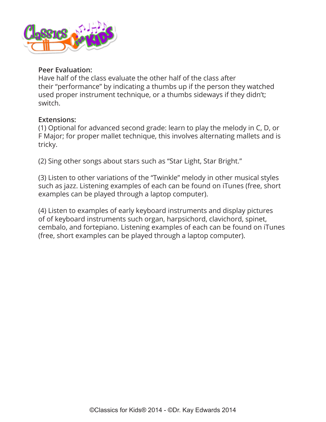

#### **Peer Evaluation:**

Have half of the class evaluate the other half of the class after their "performance" by indicating a thumbs up if the person they watched used proper instrument technique, or a thumbs sideways if they didn't; switch.

#### **Extensions:**

(1) Optional for advanced second grade: learn to play the melody in C, D, or F Major; for proper mallet technique, this involves alternating mallets and is tricky.

(2) Sing other songs about stars such as "Star Light, Star Bright."

(3) Listen to other variations of the "Twinkle" melody in other musical styles such as jazz. Listening examples of each can be found on iTunes (free, short examples can be played through a laptop computer).

(4) Listen to examples of early keyboard instruments and display pictures of of keyboard instruments such organ, harpsichord, clavichord, spinet, cembalo, and fortepiano. Listening examples of each can be found on iTunes (free, short examples can be played through a laptop computer).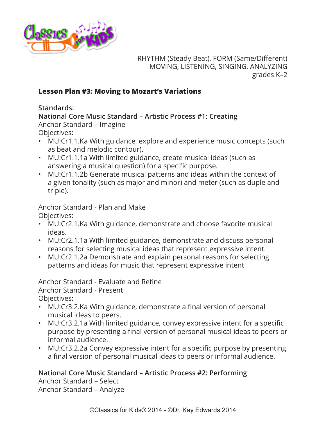<span id="page-17-0"></span>

RHYTHM (Steady Beat), FORM (Same/Different) MOVING, LISTENING, SINGING, ANALYZING grades K–2

## **Lesson Plan #3: Moving to Mozart's Variations**

**Standards:**

**National Core Music Standard – Artistic Process #1: Creating** Anchor Standard – Imagine Objectives:

- MU:Cr1.1.Ka With guidance, explore and experience music concepts (such as beat and melodic contour).
- MU:Cr1.1.1a With limited guidance, create musical ideas (such as answering a musical question) for a specific purpose.
- MU:Cr1.1.2b Generate musical patterns and ideas within the context of a given tonality (such as major and minor) and meter (such as duple and triple).

Anchor Standard - Plan and Make

Objectives:

- MU:Cr2.1.Ka With guidance, demonstrate and choose favorite musical ideas.
- MU:Cr2.1.1a With limited guidance, demonstrate and discuss personal reasons for selecting musical ideas that represent expressive intent.
- MU:Cr2.1.2a Demonstrate and explain personal reasons for selecting patterns and ideas for music that represent expressive intent

Anchor Standard - Evaluate and Refine Anchor Standard - Present Objectives:

- MU:Cr3.2.Ka With guidance, demonstrate a final version of personal musical ideas to peers.
- MU:Cr3.2.1a With limited guidance, convey expressive intent for a specific purpose by presenting a final version of personal musical ideas to peers or informal audience.
- MU:Cr3.2.2a Convey expressive intent for a specific purpose by presenting a final version of personal musical ideas to peers or informal audience.

**National Core Music Standard – Artistic Process #2: Performing**

Anchor Standard – Select Anchor Standard – Analyze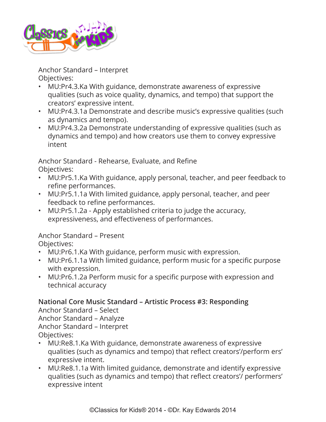

Anchor Standard – Interpret Objectives:

- MU:Pr4.3.Ka With guidance, demonstrate awareness of expressive qualities (such as voice quality, dynamics, and tempo) that support the creators' expressive intent.
- MU:Pr4.3.1a Demonstrate and describe music's expressive qualities (such as dynamics and tempo).
- MU:Pr4.3.2a Demonstrate understanding of expressive qualities (such as dynamics and tempo) and how creators use them to convey expressive intent

Anchor Standard - Rehearse, Evaluate, and Refine Objectives:

- MU:Pr5.1.Ka With guidance, apply personal, teacher, and peer feedback to refine performances.
- MU:Pr5.1.1a With limited guidance, apply personal, teacher, and peer feedback to refine performances.
- MU:Pr5.1.2a Apply established criteria to judge the accuracy, expressiveness, and effectiveness of performances.

Anchor Standard – Present Objectives:

- MU:Pr6.1.Ka With guidance, perform music with expression.
- MU:Pr6.1.1a With limited guidance, perform music for a specific purpose with expression.
- MU:Pr6.1.2a Perform music for a specific purpose with expression and technical accuracy

# **National Core Music Standard – Artistic Process #3: Responding**

Anchor Standard – Select Anchor Standard – Analyze Anchor Standard – Interpret Objectives:

- MU:Re8.1.Ka With guidance, demonstrate awareness of expressive qualities (such as dynamics and tempo) that reflect creators'/perform ers' expressive intent.
- MU:Re8.1.1a With limited guidance, demonstrate and identify expressive qualities (such as dynamics and tempo) that reflect creators'/ performers' expressive intent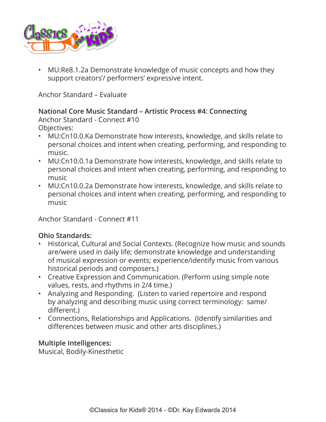

• MU:Re8.1.2a Demonstrate knowledge of music concepts and how they support creators'/ performers' expressive intent.

Anchor Standard – Evaluate

# **National Core Music Standard – Artistic Process #4: Connecting** Anchor Standard - Connect #10

- Objectives:
- MU:Cn10.0.Ka Demonstrate how interests, knowledge, and skills relate to personal choices and intent when creating, performing, and responding to music.
- MU:Cn10.0.1a Demonstrate how interests, knowledge, and skills relate to personal choices and intent when creating, performing, and responding to music
- MU:Cn10.0.2a Demonstrate how interests, knowledge, and skills relate to personal choices and intent when creating, performing, and responding to music

Anchor Standard - Connect #11

#### **Ohio Standards:**

- Historical, Cultural and Social Contexts. (Recognize how music and sounds are/were used in daily life; demonstrate knowledge and understanding of musical expression or events; experience/identify music from various historical periods and composers.)
- Creative Expression and Communication. (Perform using simple note values, rests, and rhythms in 2/4 time.)
- Analyzing and Responding. (Listen to varied repertoire and respond by analyzing and describing music using correct terminology: same/ different.)
- Connections, Relationships and Applications. (Identify similarities and differences between music and other arts disciplines.)

#### **Multiple Intelligences:**

Musical, Bodily-Kinesthetic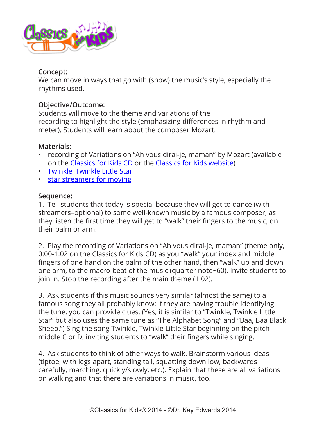

## **Concept:**

We can move in ways that go with (show) the music's style, especially the rhythms used.

## **Objective/Outcome:**

Students will move to the theme and variations of the recording to highlight the style (emphasizing differences in rhythm and meter). Students will learn about the composer Mozart.

## **Materials:**

- recording of Variations on "Ah vous dirai-je, maman" by Mozart (available on the [Classics for Kids CD](https://www.classicsforkids.com/more/cfk_cd.html) or the [Classics for Kids website](https://www.classicsforkids.com/))
- [Twinkle, Twinkle Little Star](https://www.classicsforkids.com/downloads/mozart/TwinkleTwinkle.pdf)
- [star streamers for moving](https://www.classicsforkids.com/downloads/mozart/Big_Star_Streamer.pdf)

## **Sequence:**

1. Tell students that today is special because they will get to dance (with streamers–optional) to some well-known music by a famous composer; as they listen the first time they will get to "walk" their fingers to the music, on their palm or arm.

2. Play the recording of Variations on "Ah vous dirai-je, maman" (theme only, 0:00-1:02 on the Classics for Kids CD) as you "walk" your index and middle fingers of one hand on the palm of the other hand, then "walk" up and down one arm, to the macro-beat of the music (quarter note~60). Invite students to join in. Stop the recording after the main theme (1:02).

3. Ask students if this music sounds very similar (almost the same) to a famous song they all probably know; if they are having trouble identifying the tune, you can provide clues. (Yes, it is similar to "Twinkle, Twinkle Little Star" but also uses the same tune as "The Alphabet Song" and "Baa, Baa Black Sheep.") Sing the song Twinkle, Twinkle Little Star beginning on the pitch middle C or D, inviting students to "walk" their fingers while singing.

4. Ask students to think of other ways to walk. Brainstorm various ideas (tiptoe, with legs apart, standing tall, squatting down low, backwards carefully, marching, quickly/slowly, etc.). Explain that these are all variations on walking and that there are variations in music, too.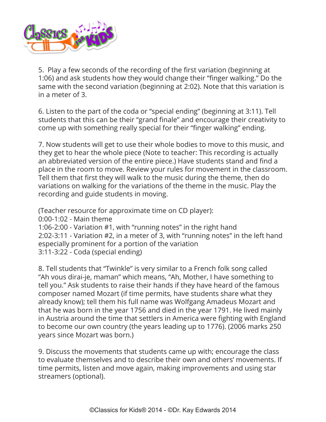

5. Play a few seconds of the recording of the first variation (beginning at 1:06) and ask students how they would change their "finger walking." Do the same with the second variation (beginning at 2:02). Note that this variation is in a meter of 3.

6. Listen to the part of the coda or "special ending" (beginning at 3:11). Tell students that this can be their "grand finale" and encourage their creativity to come up with something really special for their "finger walking" ending.

7. Now students will get to use their whole bodies to move to this music, and they get to hear the whole piece (Note to teacher: This recording is actually an abbreviated version of the entire piece.) Have students stand and find a place in the room to move. Review your rules for movement in the classroom. Tell them that first they will walk to the music during the theme, then do variations on walking for the variations of the theme in the music. Play the recording and guide students in moving.

(Teacher resource for approximate time on CD player):

0:00-1:02 - Main theme

1:06-2:00 - Variation #1, with "running notes" in the right hand 2:02-3:11 - Variation #2, in a meter of 3, with "running notes" in the left hand especially prominent for a portion of the variation 3:11-3:22 - Coda (special ending)

8. Tell students that "Twinkle" is very similar to a French folk song called "Ah vous dirai-je, maman" which means, "Ah, Mother, I have something to tell you." Ask students to raise their hands if they have heard of the famous composer named Mozart (if time permits, have students share what they already know); tell them his full name was Wolfgang Amadeus Mozart and that he was born in the year 1756 and died in the year 1791. He lived mainly in Austria around the time that settlers in America were fighting with England to become our own country (the years leading up to 1776). (2006 marks 250 years since Mozart was born.)

9. Discuss the movements that students came up with; encourage the class to evaluate themselves and to describe their own and others' movements. If time permits, listen and move again, making improvements and using star streamers (optional).